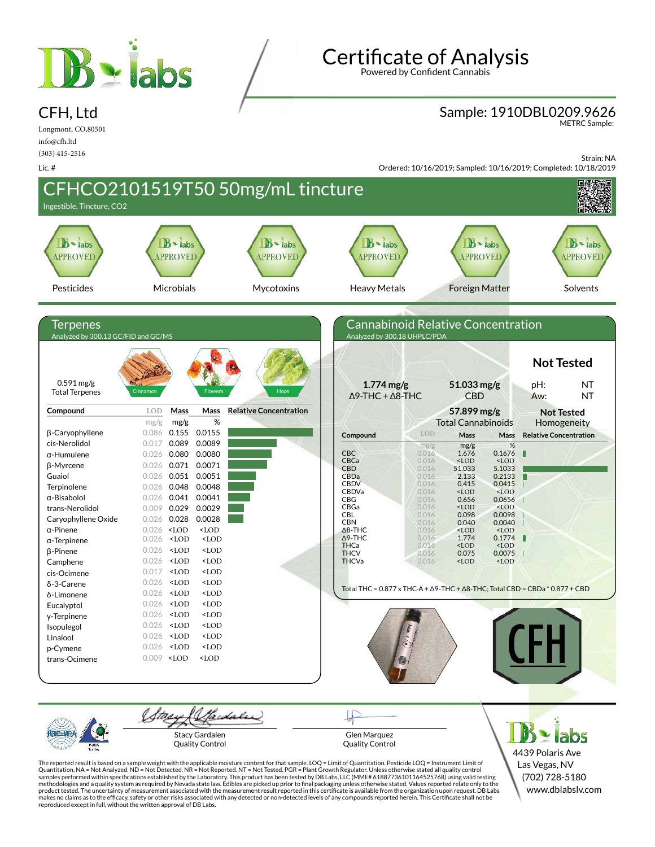

# Certificate of Analysis

Powered by Confident Cannabis

# Sample: 1910DBL0209.9626 METRC Sample:

Longmont, CO,80501 info@cfh.ltd (303) 415-2516

CFH, Ltd

Lic. #

Strain: NA

Ordered: 10/16/2019; Sampled: 10/16/2019; Completed: 10/18/2019



4439 Polaris Ave Las Vegas, NV (702) 728-5180 www.dblabslv.com

The reported result is based on a sample weight with the applicable moisture content for that sample. LOQ = Limit of Quantitation. Pesticide LOQ = Instrument Limit of Quantitation, NA = Not Analyzed. ND = Not Detected. NR = Not Reported. NT = Not Tested. PGR = Plant Growth Regulator. Unless otherwise stated all quality control<br>samples performed within specifications established by the L methodologies and a quality system as required by Nevada state law. Edibles are picked up prior to final packaging unless otherwise stated. Values reported relate only to the<br>product tested. The uncertainty of measurement reproduced except in full, without the written approval of DB Labs.